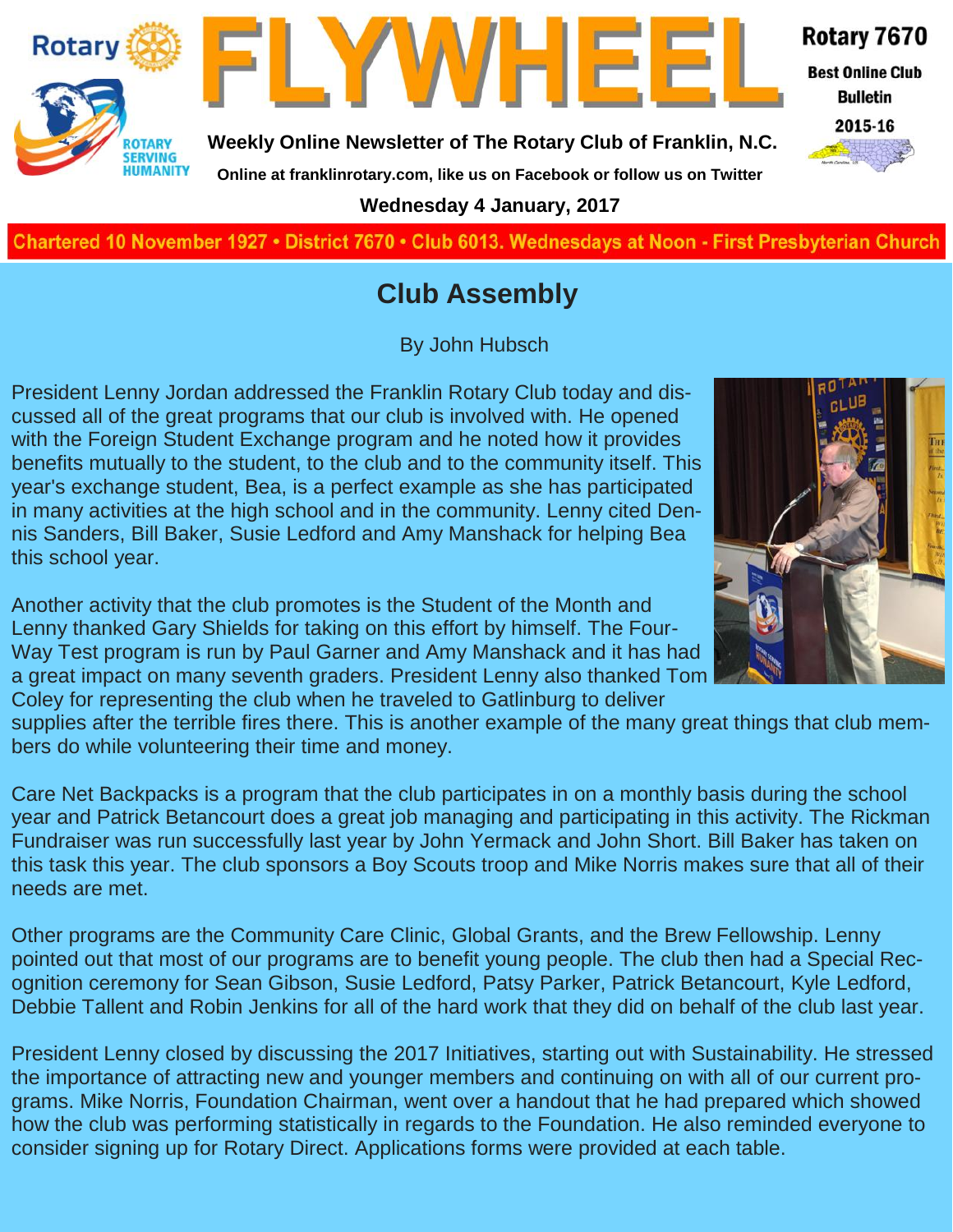

LYWHEE

**Weekly Online Newsletter of The Rotary Club of Franklin, N.C.**

Rotary 7670

**Best Online Club Bulletin** 



**Online at franklinrotary.com, like us on Facebook or follow us on Twitter Wednesday 4 January, 2017**

**Charted November 29, 1927 • District 7670 • Club 6013 Wednesdays at Noon - First Presbyterian Church**

### **Club Assembly**

By John Hubsch

President Lenny Jordan addressed the Franklin Rotary Club today and discussed all of the great programs that our club is involved with. He opened with the Foreign Student Exchange program and he noted how it provides benefits mutually to the student, to the club and to the community itself. This year's exchange student, Bea, is a perfect example as she has participated in many activities at the high school and in the community. Lenny cited Dennis Sanders, Bill Baker, Susie Ledford and Amy Manshack for helping Bea this school year.

Another activity that the club promotes is the Student of the Month and Lenny thanked Gary Shields for taking on this effort by himself. The Four-Way Test program is run by Paul Garner and Amy Manshack and it has had a great impact on many seventh graders. President Lenny also thanked Tom Coley for representing the club when he traveled to Gatlinburg to deliver



supplies after the terrible fires there. This is another example of the many great things that club members do while volunteering their time and money.

Care Net Backpacks is a program that the club participates in on a monthly basis during the school year and Patrick Betancourt does a great job managing and participating in this activity. The Rickman Fundraiser was run successfully last year by John Yermack and John Short. Bill Baker has taken on this task this year. The club sponsors a Boy Scouts troop and Mike Norris makes sure that all of their needs are met.

Other programs are the Community Care Clinic, Global Grants, and the Brew Fellowship. Lenny pointed out that most of our programs are to benefit young people. The club then had a Special Recognition ceremony for Sean Gibson, Susie Ledford, Patsy Parker, Patrick Betancourt, Kyle Ledford, Debbie Tallent and Robin Jenkins for all of the hard work that they did on behalf of the club last year.

President Lenny closed by discussing the 2017 Initiatives, starting out with Sustainability. He stressed the importance of attracting new and younger members and continuing on with all of our current programs. Mike Norris, Foundation Chairman, went over a handout that he had prepared which showed how the club was performing statistically in regards to the Foundation. He also reminded everyone to consider signing up for Rotary Direct. Applications forms were provided at each table.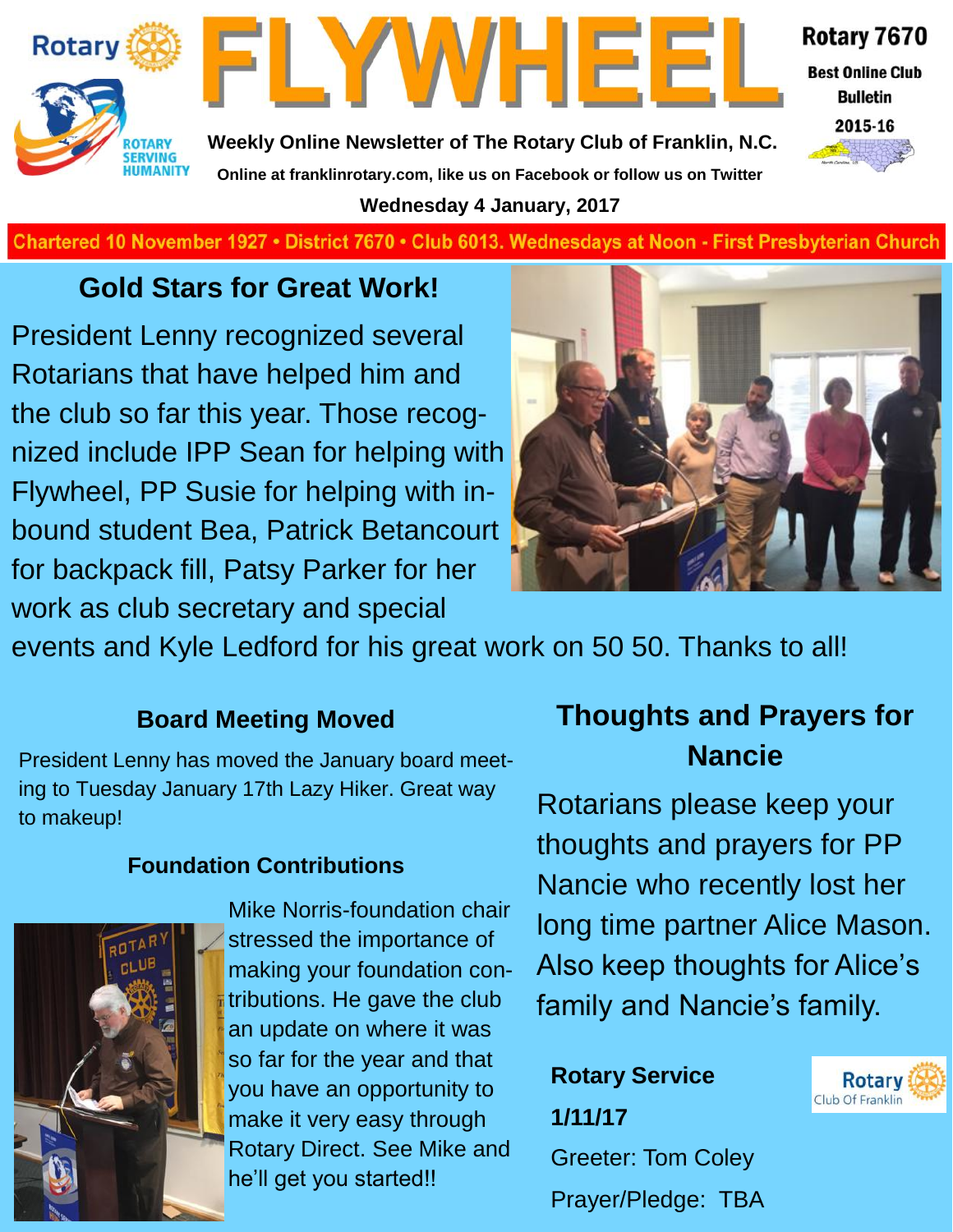



Rotary 7670

**Best Online Club Bulletin** 

2015-16

**Weekly Online Newsletter of The Rotary Club of Franklin, N.C. Online at franklinrotary.com, like us on Facebook or follow us on Twitter Wednesday 4 January, 2017**

Chartered 10 November 1927 • District 7670 • Club 6013. Wednesdays at Noon - First Presbyterian Church

### **Gold Stars for Great Work!**

President Lenny recognized several Rotarians that have helped him and the club so far this year. Those recognized include IPP Sean for helping with Flywheel, PP Susie for helping with inbound student Bea, Patrick Betancourt for backpack fill, Patsy Parker for her work as club secretary and special



events and Kyle Ledford for his great work on 50 50. Thanks to all!

#### **Board Meeting Moved**

President Lenny has moved the January board meeting to Tuesday January 17th Lazy Hiker. Great way to makeup!

#### **Foundation Contributions**



Mike Norris-foundation chair stressed the importance of making your foundation contributions. He gave the club an update on where it was so far for the year and that you have an opportunity to make it very easy through Rotary Direct. See Mike and he'll get you started!!

## **Thoughts and Prayers for Nancie**

Rotarians please keep your thoughts and prayers for PP Nancie who recently lost her long time partner Alice Mason. Also keep thoughts for Alice's family and Nancie's family.

# **Rotary Service 1/11/17** Greeter: Tom Coley Prayer/Pledge: TBA

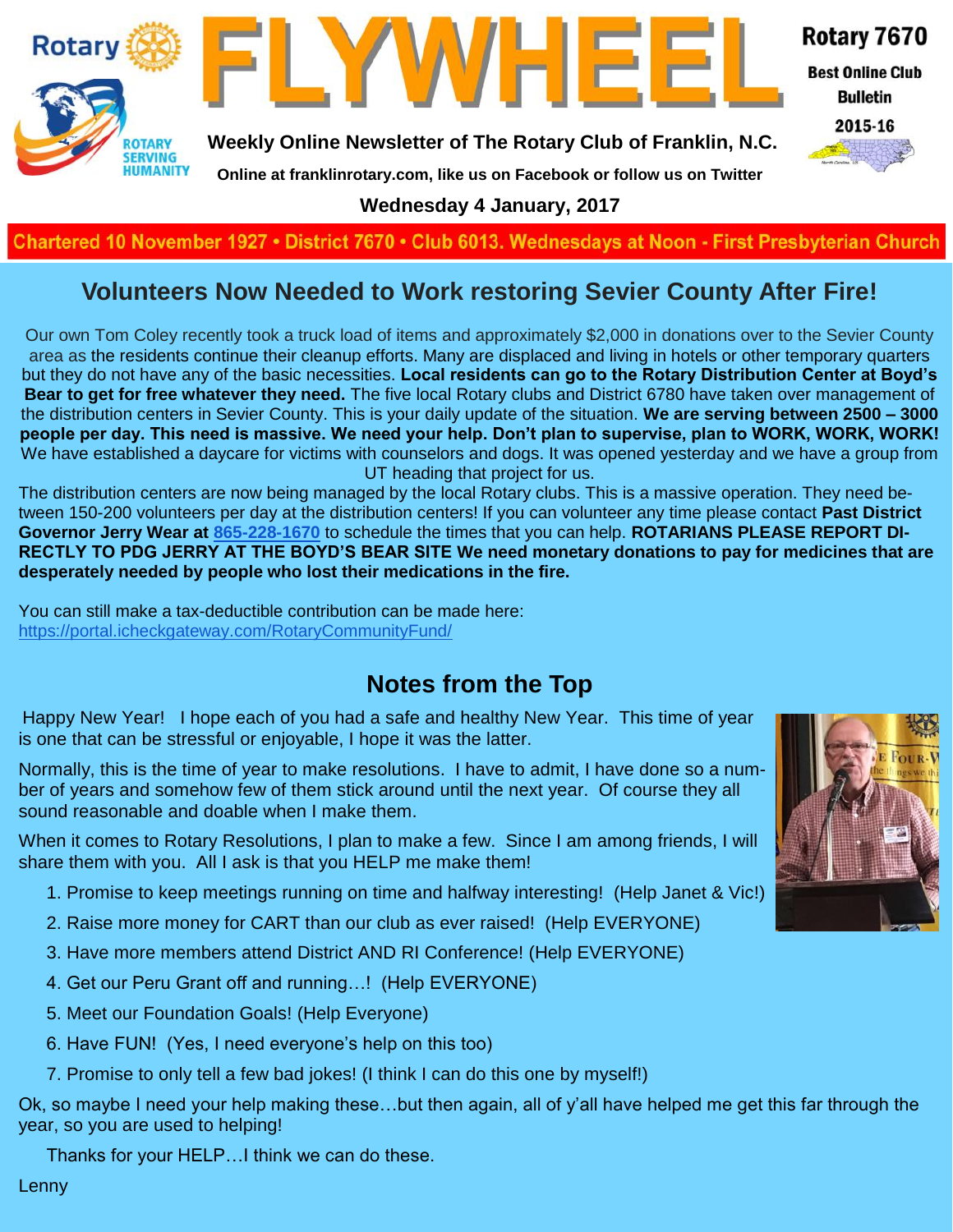



Rotary 7670

**Best Online Club Bulletin** 

2015-16



**Weekly Online Newsletter of The Rotary Club of Franklin, N.C.**

#### **Online at franklinrotary.com, like us on Facebook or follow us on Twitter**

**Wednesday 4 January, 2017**

**Charted November 29, 1927 • District 7670 • Club 6013 Wednesdays at Noon - First Presbyterian Church**

#### **Volunteers Now Needed to Work restoring Sevier County After Fire!**

Our own Tom Coley recently took a truck load of items and approximately \$2,000 in donations over to the Sevier County area as the residents continue their cleanup efforts. Many are displaced and living in hotels or other temporary quarters but they do not have any of the basic necessities. **Local residents can go to the Rotary Distribution Center at Boyd's Bear to get for free whatever they need.** The five local Rotary clubs and District 6780 have taken over management of the distribution centers in Sevier County. This is your daily update of the situation. **We are serving between 2500 – 3000 people per day. This need is massive. We need your help. Don't plan to supervise, plan to WORK, WORK, WORK!** We have established a daycare for victims with counselors and dogs. It was opened yesterday and we have a group from UT heading that project for us.

The distribution centers are now being managed by the local Rotary clubs. This is a massive operation. They need between 150-200 volunteers per day at the distribution centers! If you can volunteer any time please contact **Past District Governor Jerry Wear at [865-228-1670](tel:(865)%20228-1670)** to schedule the times that you can help. **ROTARIANS PLEASE REPORT DI-RECTLY TO PDG JERRY AT THE BOYD'S BEAR SITE We need monetary donations to pay for medicines that are desperately needed by people who lost their medications in the fire.**

You can still make a tax-deductible contribution can be made here: <https://portal.icheckgateway.com/RotaryCommunityFund/>

#### **Notes from the Top**

Happy New Year! I hope each of you had a safe and healthy New Year. This time of year is one that can be stressful or enjoyable, I hope it was the latter.

Normally, this is the time of year to make resolutions. I have to admit, I have done so a number of years and somehow few of them stick around until the next year. Of course they all sound reasonable and doable when I make them.

When it comes to Rotary Resolutions, I plan to make a few. Since I am among friends, I will share them with you. All I ask is that you HELP me make them!

- 1. Promise to keep meetings running on time and halfway interesting! (Help Janet & Vic!)
- 2. Raise more money for CART than our club as ever raised! (Help EVERYONE)
- 3. Have more members attend District AND RI Conference! (Help EVERYONE)
- 4. Get our Peru Grant off and running…! (Help EVERYONE)
- 5. Meet our Foundation Goals! (Help Everyone)
- 6. Have FUN! (Yes, I need everyone's help on this too)
- 7. Promise to only tell a few bad jokes! (I think I can do this one by myself!)

Ok, so maybe I need your help making these…but then again, all of y'all have helped me get this far through the year, so you are used to helping!

Thanks for your HELP…I think we can do these.

Lenny

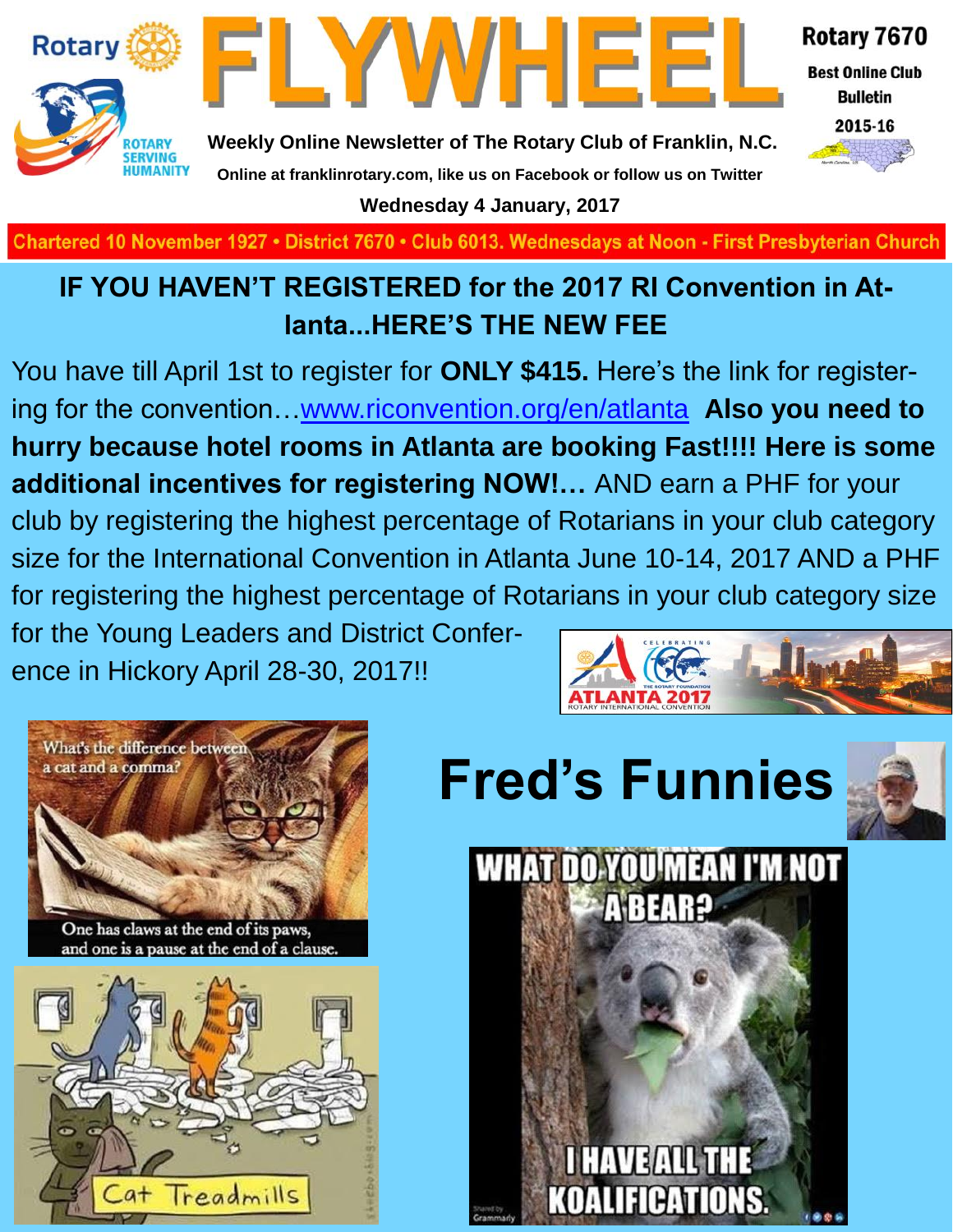



Rotary 7670

**Best Online Club Bulletin** 



**Weekly Online Newsletter of The Rotary Club of Franklin, N.C. Online at franklinrotary.com, like us on Facebook or follow us on Twitter**

**Wednesday 4 January, 2017**

Chartered 10 November 1927 • District 7670 • Club 6013. Wednesdays at Noon - First Presbyterian Church

## **IF YOU HAVEN'T REGISTERED for the 2017 RI Convention in Atlanta...HERE'S THE NEW FEE**

You have till April 1st to register for **ONLY \$415.** Here's the link for registering for the convention[…www.riconvention.org/en/atlanta](http://www.riconvention.org/en/atlanta) **Also you need to hurry because hotel rooms in Atlanta are booking Fast!!!! Here is some additional incentives for registering NOW!…** AND earn a PHF for your club by registering the highest percentage of Rotarians in your club category size for the International Convention in Atlanta June 10-14, 2017 AND a PHF for registering the highest percentage of Rotarians in your club category size for the Young Leaders and District Confer-**Thursday** ence in Hickory April 28-30, 2017!!



One has claws at the end of its paws, and one is a pause at the end of a clause.